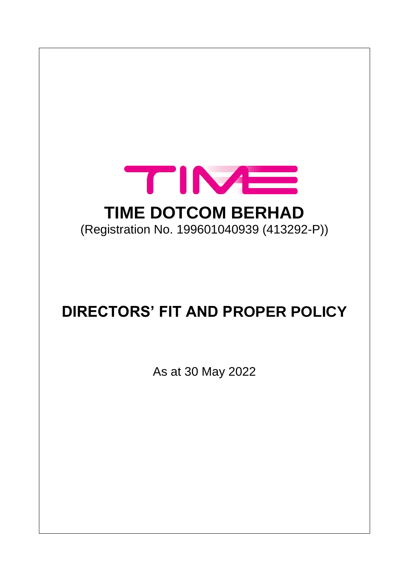

# **DIRECTORS' FIT AND PROPER POLICY**

As at 30 May 2022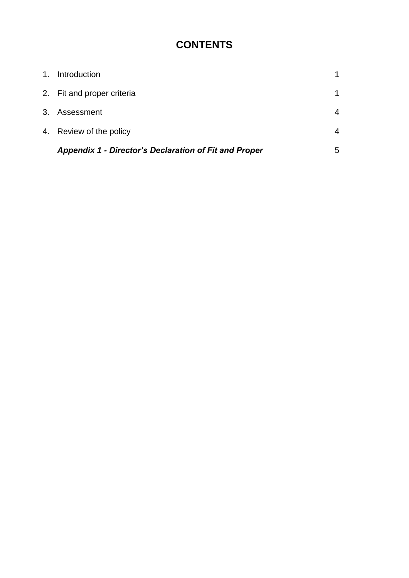# **CONTENTS**

| <b>Appendix 1 - Director's Declaration of Fit and Proper</b> | 5           |
|--------------------------------------------------------------|-------------|
| 4. Review of the policy                                      | 4           |
| 3. Assessment                                                | 4           |
| 2. Fit and proper criteria                                   | $\mathbf 1$ |
| 1. Introduction                                              |             |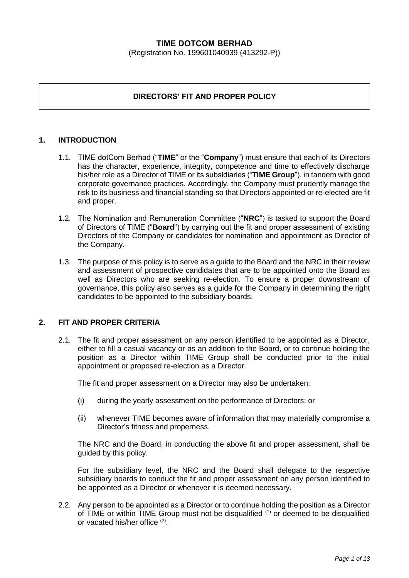#### **TIME DOTCOM BERHAD**

(Registration No. 199601040939 (413292-P))

# **DIRECTORS' FIT AND PROPER POLICY**

#### **1. INTRODUCTION**

- 1.1. TIME dotCom Berhad ("**TIME**" or the "**Company**") must ensure that each of its Directors has the character, experience, integrity, competence and time to effectively discharge his/her role as a Director of TIME or its subsidiaries ("**TIME Group**"), in tandem with good corporate governance practices. Accordingly, the Company must prudently manage the risk to its business and financial standing so that Directors appointed or re-elected are fit and proper.
- 1.2. The Nomination and Remuneration Committee ("**NRC**") is tasked to support the Board of Directors of TIME ("**Board**") by carrying out the fit and proper assessment of existing Directors of the Company or candidates for nomination and appointment as Director of the Company.
- 1.3. The purpose of this policy is to serve as a guide to the Board and the NRC in their review and assessment of prospective candidates that are to be appointed onto the Board as well as Directors who are seeking re-election. To ensure a proper downstream of governance, this policy also serves as a guide for the Company in determining the right candidates to be appointed to the subsidiary boards.

#### **2. FIT AND PROPER CRITERIA**

2.1. The fit and proper assessment on any person identified to be appointed as a Director, either to fill a casual vacancy or as an addition to the Board, or to continue holding the position as a Director within TIME Group shall be conducted prior to the initial appointment or proposed re-election as a Director.

The fit and proper assessment on a Director may also be undertaken:

- (i) during the yearly assessment on the performance of Directors; or
- (ii) whenever TIME becomes aware of information that may materially compromise a Director's fitness and properness.

The NRC and the Board, in conducting the above fit and proper assessment, shall be guided by this policy.

For the subsidiary level, the NRC and the Board shall delegate to the respective subsidiary boards to conduct the fit and proper assessment on any person identified to be appointed as a Director or whenever it is deemed necessary.

2.2. Any person to be appointed as a Director or to continue holding the position as a Director of TIME or within TIME Group must not be disqualified (1) or deemed to be disqualified or vacated his/her office (2).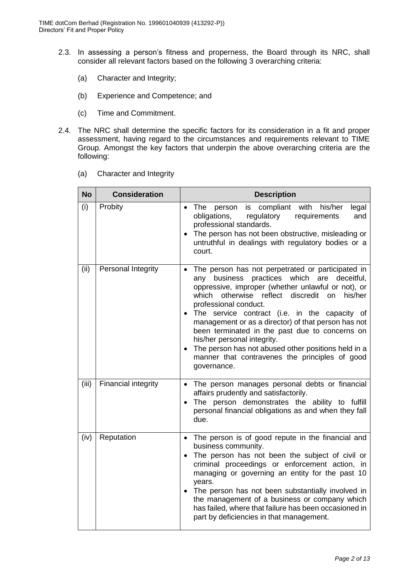- 2.3. In assessing a person's fitness and properness, the Board through its NRC, shall consider all relevant factors based on the following 3 overarching criteria:
	- (a) Character and Integrity;
	- (b) Experience and Competence; and
	- (c) Time and Commitment.
- 2.4. The NRC shall determine the specific factors for its consideration in a fit and proper assessment, having regard to the circumstances and requirements relevant to TIME Group. Amongst the key factors that underpin the above overarching criteria are the following:
	- (a) Character and Integrity

| <b>No</b> | <b>Consideration</b>       | <b>Description</b>                                                                                                                                                                                                                                                                                                                                                                                                                                                                                                                                                          |
|-----------|----------------------------|-----------------------------------------------------------------------------------------------------------------------------------------------------------------------------------------------------------------------------------------------------------------------------------------------------------------------------------------------------------------------------------------------------------------------------------------------------------------------------------------------------------------------------------------------------------------------------|
| (i)       | Probity                    | his/her<br>compliant<br>with<br>The<br>is<br>legal<br>person<br>$\bullet$<br>obligations,<br>regulatory<br>requirements<br>and<br>professional standards.<br>The person has not been obstructive, misleading or<br>$\bullet$<br>untruthful in dealings with regulatory bodies or a<br>court.                                                                                                                                                                                                                                                                                |
| (ii)      | Personal Integrity         | The person has not perpetrated or participated in<br>practices<br>which are<br>any business<br>deceitful,<br>oppressive, improper (whether unlawful or not), or<br>which otherwise reflect discredit on<br>his/her<br>professional conduct.<br>• The service contract (i.e. in the capacity of<br>management or as a director) of that person has not<br>been terminated in the past due to concerns on<br>his/her personal integrity.<br>The person has not abused other positions held in a<br>$\bullet$<br>manner that contravenes the principles of good<br>governance. |
| (iii)     | <b>Financial integrity</b> | The person manages personal debts or financial<br>$\bullet$<br>affairs prudently and satisfactorily.<br>The person demonstrates the ability to fulfill<br>personal financial obligations as and when they fall<br>due.                                                                                                                                                                                                                                                                                                                                                      |
| (iv)      | Reputation                 | The person is of good repute in the financial and<br>$\bullet$<br>business community.<br>The person has not been the subject of civil or<br>$\bullet$<br>criminal proceedings or enforcement action, in<br>managing or governing an entity for the past 10<br>years.<br>• The person has not been substantially involved in<br>the management of a business or company which<br>has failed, where that failure has been occasioned in<br>part by deficiencies in that management.                                                                                           |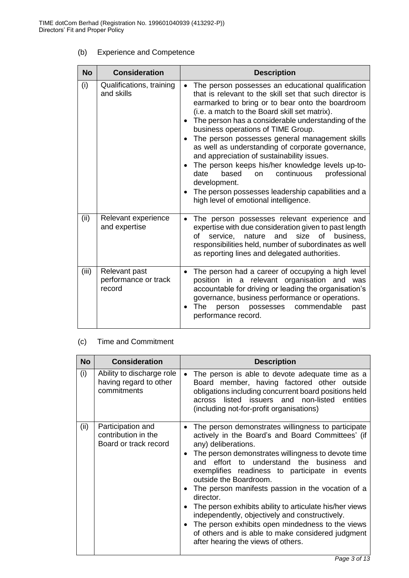# (b) Experience and Competence

| <b>No</b> | <b>Consideration</b>                            | <b>Description</b>                                                                                                                                                                                                                                                                                                                                                                                                                                                                                                                                                                                                                                                                                      |
|-----------|-------------------------------------------------|---------------------------------------------------------------------------------------------------------------------------------------------------------------------------------------------------------------------------------------------------------------------------------------------------------------------------------------------------------------------------------------------------------------------------------------------------------------------------------------------------------------------------------------------------------------------------------------------------------------------------------------------------------------------------------------------------------|
| (i)       | Qualifications, training<br>and skills          | The person possesses an educational qualification<br>that is relevant to the skill set that such director is<br>earmarked to bring or to bear onto the boardroom<br>(i.e. a match to the Board skill set matrix).<br>The person has a considerable understanding of the<br>business operations of TIME Group.<br>The person possesses general management skills<br>as well as understanding of corporate governance,<br>and appreciation of sustainability issues.<br>The person keeps his/her knowledge levels up-to-<br>$\bullet$<br>continuous<br>based<br>professional<br>date<br>on<br>development.<br>The person possesses leadership capabilities and a<br>high level of emotional intelligence. |
| (ii)      | Relevant experience<br>and expertise            | The person possesses relevant experience and<br>expertise with due consideration given to past length<br>of<br>service, nature and size<br>of<br>business.<br>responsibilities held, number of subordinates as well<br>as reporting lines and delegated authorities.                                                                                                                                                                                                                                                                                                                                                                                                                                    |
| (iii)     | Relevant past<br>performance or track<br>record | The person had a career of occupying a high level<br>$\bullet$<br>position in a relevant organisation and was<br>accountable for driving or leading the organisation's<br>governance, business performance or operations.<br>The<br>person possesses<br>commendable<br>past<br>performance record.                                                                                                                                                                                                                                                                                                                                                                                                      |

#### (c) Time and Commitment

| <b>No</b> | <b>Consideration</b>                                               | <b>Description</b>                                                                                                                                                                                                                                                                                                                                                                                                                                                                                                                                                                                                                          |
|-----------|--------------------------------------------------------------------|---------------------------------------------------------------------------------------------------------------------------------------------------------------------------------------------------------------------------------------------------------------------------------------------------------------------------------------------------------------------------------------------------------------------------------------------------------------------------------------------------------------------------------------------------------------------------------------------------------------------------------------------|
| (i)       | Ability to discharge role<br>having regard to other<br>commitments | The person is able to devote adequate time as a<br>$\bullet$<br>Board member, having factored other outside<br>obligations including concurrent board positions held<br>listed issuers and non-listed entities<br>across<br>(including not-for-profit organisations)                                                                                                                                                                                                                                                                                                                                                                        |
| (ii)      | Participation and<br>contribution in the<br>Board or track record  | The person demonstrates willingness to participate<br>actively in the Board's and Board Committees' (if<br>any) deliberations.<br>The person demonstrates willingness to devote time<br>and effort to understand the business and<br>exemplifies readiness to participate in events<br>outside the Boardroom.<br>The person manifests passion in the vocation of a<br>director.<br>The person exhibits ability to articulate his/her views<br>independently, objectively and constructively.<br>The person exhibits open mindedness to the views<br>of others and is able to make considered judgment<br>after hearing the views of others. |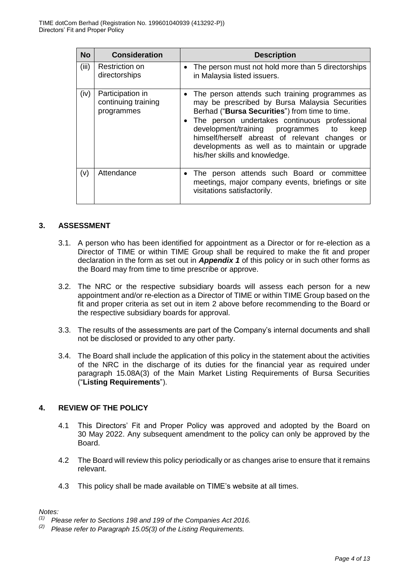| <b>No</b> | <b>Consideration</b>                                  | <b>Description</b>                                                                                                                                                                                                                                                                                                                                                                                    |
|-----------|-------------------------------------------------------|-------------------------------------------------------------------------------------------------------------------------------------------------------------------------------------------------------------------------------------------------------------------------------------------------------------------------------------------------------------------------------------------------------|
| (iii)     | Restriction on<br>directorships                       | The person must not hold more than 5 directorships<br>$\bullet$<br>in Malaysia listed issuers.                                                                                                                                                                                                                                                                                                        |
| (iv)      | Participation in<br>continuing training<br>programmes | The person attends such training programmes as<br>$\bullet$<br>may be prescribed by Bursa Malaysia Securities<br>Berhad ("Bursa Securities") from time to time.<br>• The person undertakes continuous professional<br>development/training programmes to<br>keep<br>himself/herself abreast of relevant changes or<br>developments as well as to maintain or upgrade<br>his/her skills and knowledge. |
| (v)       | Attendance                                            | The person attends such Board or committee<br>$\bullet$<br>meetings, major company events, briefings or site<br>visitations satisfactorily.                                                                                                                                                                                                                                                           |

#### **3. ASSESSMENT**

- 3.1. A person who has been identified for appointment as a Director or for re-election as a Director of TIME or within TIME Group shall be required to make the fit and proper declaration in the form as set out in *Appendix 1* of this policy or in such other forms as the Board may from time to time prescribe or approve.
- 3.2. The NRC or the respective subsidiary boards will assess each person for a new appointment and/or re-election as a Director of TIME or within TIME Group based on the fit and proper criteria as set out in item 2 above before recommending to the Board or the respective subsidiary boards for approval.
- 3.3. The results of the assessments are part of the Company's internal documents and shall not be disclosed or provided to any other party.
- 3.4. The Board shall include the application of this policy in the statement about the activities of the NRC in the discharge of its duties for the financial year as required under paragraph 15.08A(3) of the Main Market Listing Requirements of Bursa Securities ("**Listing Requirements**").

# **4. REVIEW OF THE POLICY**

- 4.1 This Directors' Fit and Proper Policy was approved and adopted by the Board on 30 May 2022. Any subsequent amendment to the policy can only be approved by the Board.
- 4.2 The Board will review this policy periodically or as changes arise to ensure that it remains relevant.
- 4.3 This policy shall be made available on TIME's website at all times.

#### *Notes:*

*<sup>(1)</sup> Please refer to Sections 198 and 199 of the Companies Act 2016.*

*<sup>(2)</sup> Please refer to Paragraph 15.05(3) of the Listing Requirements.*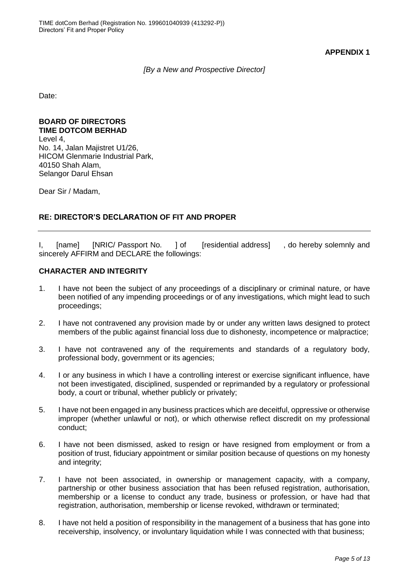**APPENDIX 1**

*[By a New and Prospective Director]*

Date:

#### **BOARD OF DIRECTORS TIME DOTCOM BERHAD**

Level 4, No. 14, Jalan Majistret U1/26, HICOM Glenmarie Industrial Park, 40150 Shah Alam, Selangor Darul Ehsan

Dear Sir / Madam,

## **RE: DIRECTOR'S DECLARATION OF FIT AND PROPER**

I, [name] [NRIC/ Passport No. ] of [residential address] , do hereby solemnly and sincerely AFFIRM and DECLARE the followings:

#### **CHARACTER AND INTEGRITY**

- 1. I have not been the subject of any proceedings of a disciplinary or criminal nature, or have been notified of any impending proceedings or of any investigations, which might lead to such proceedings;
- 2. I have not contravened any provision made by or under any written laws designed to protect members of the public against financial loss due to dishonesty, incompetence or malpractice;
- 3. I have not contravened any of the requirements and standards of a regulatory body, professional body, government or its agencies;
- 4. I or any business in which I have a controlling interest or exercise significant influence, have not been investigated, disciplined, suspended or reprimanded by a regulatory or professional body, a court or tribunal, whether publicly or privately;
- 5. I have not been engaged in any business practices which are deceitful, oppressive or otherwise improper (whether unlawful or not), or which otherwise reflect discredit on my professional conduct;
- 6. I have not been dismissed, asked to resign or have resigned from employment or from a position of trust, fiduciary appointment or similar position because of questions on my honesty and integrity;
- 7. I have not been associated, in ownership or management capacity, with a company, partnership or other business association that has been refused registration, authorisation, membership or a license to conduct any trade, business or profession, or have had that registration, authorisation, membership or license revoked, withdrawn or terminated;
- 8. I have not held a position of responsibility in the management of a business that has gone into receivership, insolvency, or involuntary liquidation while I was connected with that business;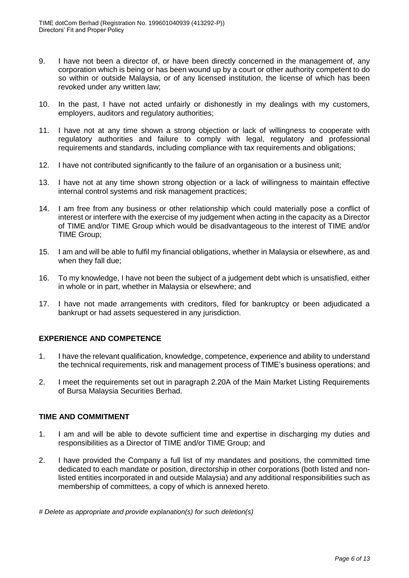- 9. I have not been a director of, or have been directly concerned in the management of, any corporation which is being or has been wound up by a court or other authority competent to do so within or outside Malaysia, or of any licensed institution, the license of which has been revoked under any written law;
- 10. In the past, I have not acted unfairly or dishonestly in my dealings with my customers, employers, auditors and regulatory authorities;
- 11. I have not at any time shown a strong objection or lack of willingness to cooperate with regulatory authorities and failure to comply with legal, regulatory and professional requirements and standards, including compliance with tax requirements and obligations;
- 12. I have not contributed significantly to the failure of an organisation or a business unit;
- 13. I have not at any time shown strong objection or a lack of willingness to maintain effective internal control systems and risk management practices;
- 14. I am free from any business or other relationship which could materially pose a conflict of interest or interfere with the exercise of my judgement when acting in the capacity as a Director of TIME and/or TIME Group which would be disadvantageous to the interest of TIME and/or TIME Group;
- 15. I am and will be able to fulfil my financial obligations, whether in Malaysia or elsewhere, as and when they fall due;
- 16. To my knowledge, I have not been the subject of a judgement debt which is unsatisfied, either in whole or in part, whether in Malaysia or elsewhere; and
- 17. I have not made arrangements with creditors, filed for bankruptcy or been adjudicated a bankrupt or had assets sequestered in any jurisdiction.

#### **EXPERIENCE AND COMPETENCE**

- 1. I have the relevant qualification, knowledge, competence, experience and ability to understand the technical requirements, risk and management process of TIME's business operations; and
- 2. I meet the requirements set out in paragraph 2.20A of the Main Market Listing Requirements of Bursa Malaysia Securities Berhad.

#### **TIME AND COMMITMENT**

- 1. I am and will be able to devote sufficient time and expertise in discharging my duties and responsibilities as a Director of TIME and/or TIME Group; and
- 2. I have provided the Company a full list of my mandates and positions, the committed time dedicated to each mandate or position, directorship in other corporations (both listed and nonlisted entities incorporated in and outside Malaysia) and any additional responsibilities such as membership of committees, a copy of which is annexed hereto.

*# Delete as appropriate and provide explanation(s) for such deletion(s)*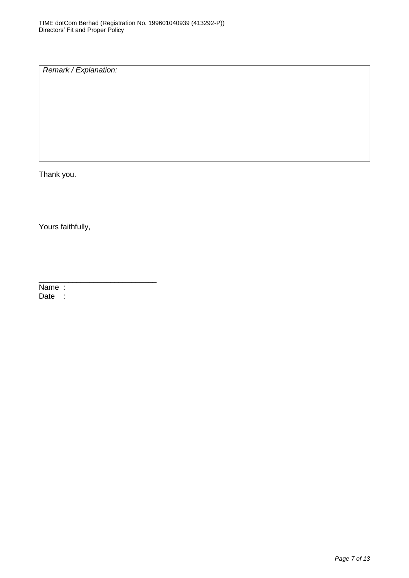*Remark / Explanation:*

Thank you.

Yours faithfully,

\_\_\_\_\_\_\_\_\_\_\_\_\_\_\_\_\_\_\_\_\_\_\_\_\_\_\_\_

Name : Date :

*Page 7 of 13*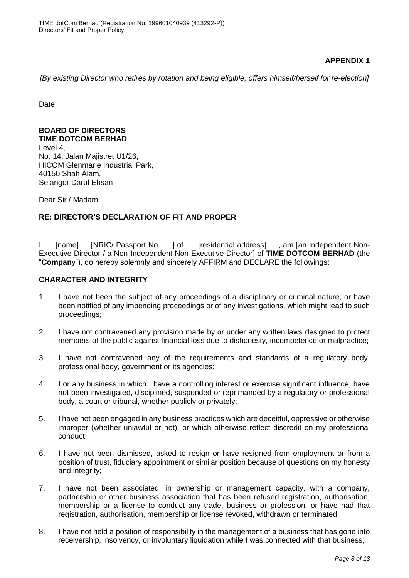## **APPENDIX 1**

*[By existing Director who retires by rotation and being eligible, offers himself/herself for re-election]*

Date:

#### **BOARD OF DIRECTORS TIME DOTCOM BERHAD**

Level 4, No. 14, Jalan Majistret U1/26, HICOM Glenmarie Industrial Park, 40150 Shah Alam, Selangor Darul Ehsan

Dear Sir / Madam,

## **RE: DIRECTOR'S DECLARATION OF FIT AND PROPER**

I, [name] [NRIC/ Passport No. ] of [residential address] , am [an Independent Non-Executive Director / a Non-Independent Non-Executive Director] of **TIME DOTCOM BERHAD** (the "**Compan**y"), do hereby solemnly and sincerely AFFIRM and DECLARE the followings:

#### **CHARACTER AND INTEGRITY**

- 1. I have not been the subject of any proceedings of a disciplinary or criminal nature, or have been notified of any impending proceedings or of any investigations, which might lead to such proceedings;
- 2. I have not contravened any provision made by or under any written laws designed to protect members of the public against financial loss due to dishonesty, incompetence or malpractice;
- 3. I have not contravened any of the requirements and standards of a regulatory body, professional body, government or its agencies;
- 4. I or any business in which I have a controlling interest or exercise significant influence, have not been investigated, disciplined, suspended or reprimanded by a regulatory or professional body, a court or tribunal, whether publicly or privately;
- 5. I have not been engaged in any business practices which are deceitful, oppressive or otherwise improper (whether unlawful or not), or which otherwise reflect discredit on my professional conduct;
- 6. I have not been dismissed, asked to resign or have resigned from employment or from a position of trust, fiduciary appointment or similar position because of questions on my honesty and integrity;
- 7. I have not been associated, in ownership or management capacity, with a company, partnership or other business association that has been refused registration, authorisation, membership or a license to conduct any trade, business or profession, or have had that registration, authorisation, membership or license revoked, withdrawn or terminated;
- 8. I have not held a position of responsibility in the management of a business that has gone into receivership, insolvency, or involuntary liquidation while I was connected with that business;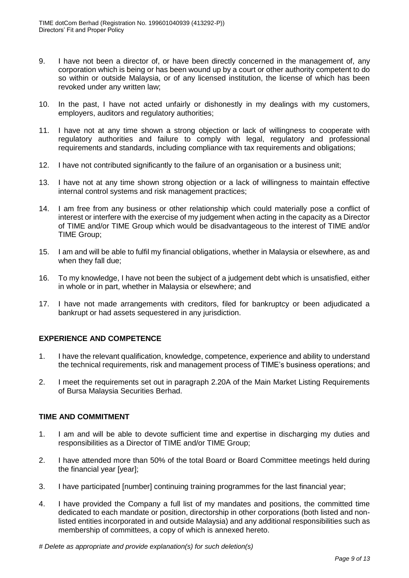- 9. I have not been a director of, or have been directly concerned in the management of, any corporation which is being or has been wound up by a court or other authority competent to do so within or outside Malaysia, or of any licensed institution, the license of which has been revoked under any written law;
- 10. In the past, I have not acted unfairly or dishonestly in my dealings with my customers, employers, auditors and regulatory authorities;
- 11. I have not at any time shown a strong objection or lack of willingness to cooperate with regulatory authorities and failure to comply with legal, regulatory and professional requirements and standards, including compliance with tax requirements and obligations;
- 12. I have not contributed significantly to the failure of an organisation or a business unit;
- 13. I have not at any time shown strong objection or a lack of willingness to maintain effective internal control systems and risk management practices;
- 14. I am free from any business or other relationship which could materially pose a conflict of interest or interfere with the exercise of my judgement when acting in the capacity as a Director of TIME and/or TIME Group which would be disadvantageous to the interest of TIME and/or TIME Group;
- 15. I am and will be able to fulfil my financial obligations, whether in Malaysia or elsewhere, as and when they fall due;
- 16. To my knowledge, I have not been the subject of a judgement debt which is unsatisfied, either in whole or in part, whether in Malaysia or elsewhere; and
- 17. I have not made arrangements with creditors, filed for bankruptcy or been adjudicated a bankrupt or had assets sequestered in any jurisdiction.

#### **EXPERIENCE AND COMPETENCE**

- 1. I have the relevant qualification, knowledge, competence, experience and ability to understand the technical requirements, risk and management process of TIME's business operations; and
- 2. I meet the requirements set out in paragraph 2.20A of the Main Market Listing Requirements of Bursa Malaysia Securities Berhad.

#### **TIME AND COMMITMENT**

- 1. I am and will be able to devote sufficient time and expertise in discharging my duties and responsibilities as a Director of TIME and/or TIME Group;
- 2. I have attended more than 50% of the total Board or Board Committee meetings held during the financial year [year];
- 3. I have participated [number] continuing training programmes for the last financial year;
- 4. I have provided the Company a full list of my mandates and positions, the committed time dedicated to each mandate or position, directorship in other corporations (both listed and nonlisted entities incorporated in and outside Malaysia) and any additional responsibilities such as membership of committees, a copy of which is annexed hereto.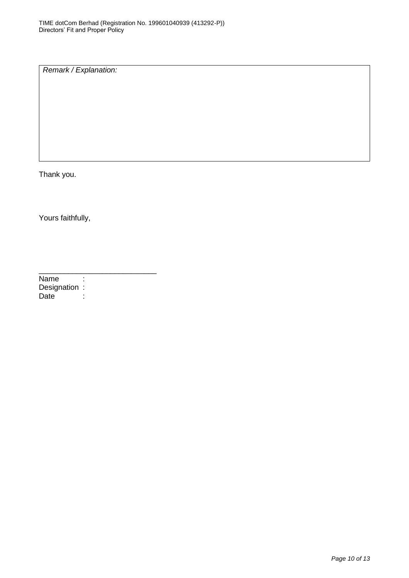*Remark / Explanation:*

Thank you.

Yours faithfully,

\_\_\_\_\_\_\_\_\_\_\_\_\_\_\_\_\_\_\_\_\_\_\_\_\_\_\_\_ Name : Designation :<br>Date : Date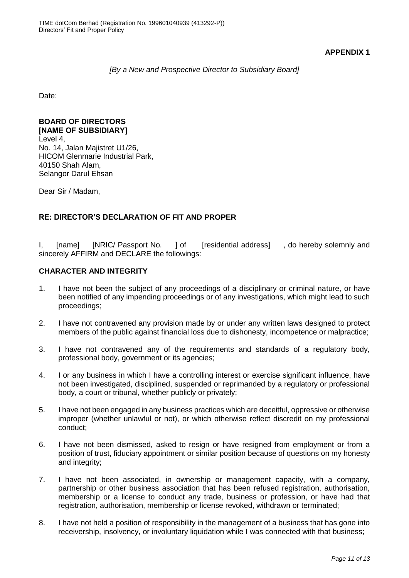**APPENDIX 1**

#### *[By a New and Prospective Director to Subsidiary Board]*

Date:

#### **BOARD OF DIRECTORS [NAME OF SUBSIDIARY]**

Level 4, No. 14, Jalan Majistret U1/26, HICOM Glenmarie Industrial Park, 40150 Shah Alam, Selangor Darul Ehsan

Dear Sir / Madam,

## **RE: DIRECTOR'S DECLARATION OF FIT AND PROPER**

I, [name] [NRIC/ Passport No. ] of [residential address] , do hereby solemnly and sincerely AFFIRM and DECLARE the followings:

#### **CHARACTER AND INTEGRITY**

- 1. I have not been the subject of any proceedings of a disciplinary or criminal nature, or have been notified of any impending proceedings or of any investigations, which might lead to such proceedings;
- 2. I have not contravened any provision made by or under any written laws designed to protect members of the public against financial loss due to dishonesty, incompetence or malpractice;
- 3. I have not contravened any of the requirements and standards of a regulatory body, professional body, government or its agencies;
- 4. I or any business in which I have a controlling interest or exercise significant influence, have not been investigated, disciplined, suspended or reprimanded by a regulatory or professional body, a court or tribunal, whether publicly or privately;
- 5. I have not been engaged in any business practices which are deceitful, oppressive or otherwise improper (whether unlawful or not), or which otherwise reflect discredit on my professional conduct;
- 6. I have not been dismissed, asked to resign or have resigned from employment or from a position of trust, fiduciary appointment or similar position because of questions on my honesty and integrity;
- 7. I have not been associated, in ownership or management capacity, with a company, partnership or other business association that has been refused registration, authorisation, membership or a license to conduct any trade, business or profession, or have had that registration, authorisation, membership or license revoked, withdrawn or terminated;
- 8. I have not held a position of responsibility in the management of a business that has gone into receivership, insolvency, or involuntary liquidation while I was connected with that business;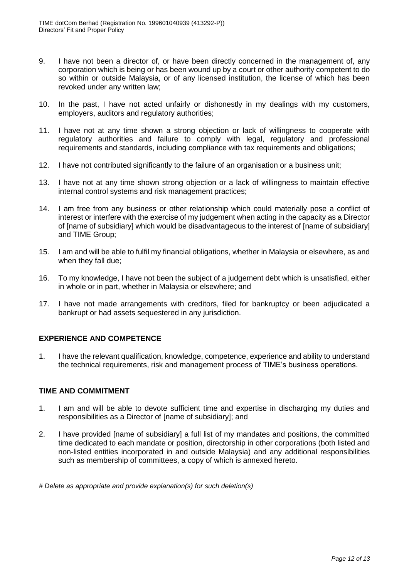- 9. I have not been a director of, or have been directly concerned in the management of, any corporation which is being or has been wound up by a court or other authority competent to do so within or outside Malaysia, or of any licensed institution, the license of which has been revoked under any written law;
- 10. In the past, I have not acted unfairly or dishonestly in my dealings with my customers, employers, auditors and regulatory authorities;
- 11. I have not at any time shown a strong objection or lack of willingness to cooperate with regulatory authorities and failure to comply with legal, regulatory and professional requirements and standards, including compliance with tax requirements and obligations;
- 12. I have not contributed significantly to the failure of an organisation or a business unit;
- 13. I have not at any time shown strong objection or a lack of willingness to maintain effective internal control systems and risk management practices;
- 14. I am free from any business or other relationship which could materially pose a conflict of interest or interfere with the exercise of my judgement when acting in the capacity as a Director of [name of subsidiary] which would be disadvantageous to the interest of [name of subsidiary] and TIME Group;
- 15. I am and will be able to fulfil my financial obligations, whether in Malaysia or elsewhere, as and when they fall due;
- 16. To my knowledge, I have not been the subject of a judgement debt which is unsatisfied, either in whole or in part, whether in Malaysia or elsewhere; and
- 17. I have not made arrangements with creditors, filed for bankruptcy or been adjudicated a bankrupt or had assets sequestered in any jurisdiction.

#### **EXPERIENCE AND COMPETENCE**

1. I have the relevant qualification, knowledge, competence, experience and ability to understand the technical requirements, risk and management process of TIME's business operations.

#### **TIME AND COMMITMENT**

- 1. I am and will be able to devote sufficient time and expertise in discharging my duties and responsibilities as a Director of [name of subsidiary]; and
- 2. I have provided [name of subsidiary] a full list of my mandates and positions, the committed time dedicated to each mandate or position, directorship in other corporations (both listed and non-listed entities incorporated in and outside Malaysia) and any additional responsibilities such as membership of committees, a copy of which is annexed hereto.

*# Delete as appropriate and provide explanation(s) for such deletion(s)*